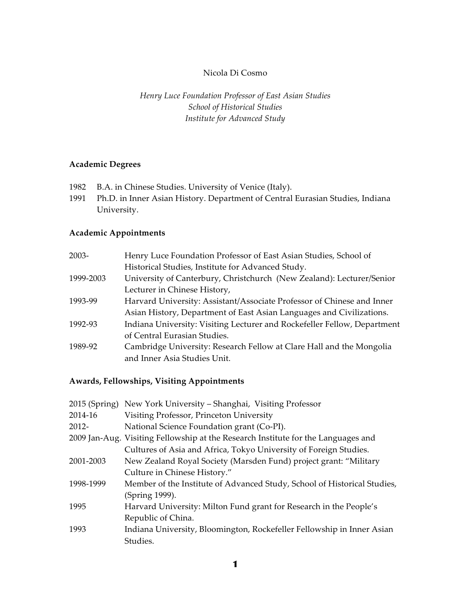## Nicola Di Cosmo

## *Henry Luce Foundation Professor of East Asian Studies School of Historical Studies Institute for Advanced Study*

## **Academic Degrees**

- 1982 B.A. in Chinese Studies. University of Venice (Italy).
- 1991 Ph.D. in Inner Asian History. Department of Central Eurasian Studies, Indiana University.

## **Academic Appointments**

| $2003 -$  | Henry Luce Foundation Professor of East Asian Studies, School of         |
|-----------|--------------------------------------------------------------------------|
|           | Historical Studies, Institute for Advanced Study.                        |
| 1999-2003 | University of Canterbury, Christchurch (New Zealand): Lecturer/Senior    |
|           | Lecturer in Chinese History,                                             |
| 1993-99   | Harvard University: Assistant/Associate Professor of Chinese and Inner   |
|           | Asian History, Department of East Asian Languages and Civilizations.     |
| 1992-93   | Indiana University: Visiting Lecturer and Rockefeller Fellow, Department |
|           | of Central Eurasian Studies.                                             |
| 1989-92   | Cambridge University: Research Fellow at Clare Hall and the Mongolia     |
|           | and Inner Asia Studies Unit.                                             |

## **Awards, Fellowships, Visiting Appointments**

|           | 2015 (Spring) New York University - Shanghai, Visiting Professor                  |
|-----------|-----------------------------------------------------------------------------------|
| 2014-16   | Visiting Professor, Princeton University                                          |
| 2012-     | National Science Foundation grant (Co-PI).                                        |
|           | 2009 Jan-Aug. Visiting Fellowship at the Research Institute for the Languages and |
|           | Cultures of Asia and Africa, Tokyo University of Foreign Studies.                 |
| 2001-2003 | New Zealand Royal Society (Marsden Fund) project grant: "Military                 |
|           | Culture in Chinese History."                                                      |
| 1998-1999 | Member of the Institute of Advanced Study, School of Historical Studies,          |
|           | (Spring 1999).                                                                    |
| 1995      | Harvard University: Milton Fund grant for Research in the People's                |
|           | Republic of China.                                                                |
| 1993      | Indiana University, Bloomington, Rockefeller Fellowship in Inner Asian            |
|           | Studies.                                                                          |
|           |                                                                                   |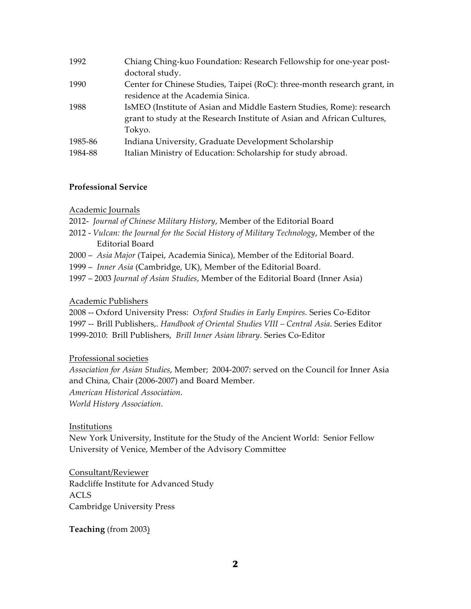| 1992    | Chiang Ching-kuo Foundation: Research Fellowship for one-year post-      |
|---------|--------------------------------------------------------------------------|
|         | doctoral study.                                                          |
| 1990    | Center for Chinese Studies, Taipei (RoC): three-month research grant, in |
|         | residence at the Academia Sinica.                                        |
| 1988    | IsMEO (Institute of Asian and Middle Eastern Studies, Rome): research    |
|         | grant to study at the Research Institute of Asian and African Cultures,  |
|         | Tokyo.                                                                   |
| 1985-86 | Indiana University, Graduate Development Scholarship                     |
| 1984-88 | Italian Ministry of Education: Scholarship for study abroad.             |

### **Professional Service**

#### Academic Journals

- 2012- *Journal of Chinese Military History*, Member of the Editorial Board
- 2012 *Vulcan: the Journal for the Social History of Military Technology*, Member of the Editorial Board
- 2000 *Asia Major* (Taipei, Academia Sinica), Member of the Editorial Board.
- 1999 *Inner Asia* (Cambridge, UK), Member of the Editorial Board.
- 1997 2003 *Journal of Asian Studies*, Member of the Editorial Board (Inner Asia)

#### Academic Publishers

2008 -- Oxford University Press: *Oxford Studies in Early Empires.* Series Co-Editor

1997 -- Brill Publishers,. *Handbook of Oriental Studies VIII – Central Asia*. Series Editor 1999-2010: Brill Publishers, *Brill Inner Asian library*. Series Co-Editor

Professional societies

*Association for Asian Studies*, Member; 2004-2007: served on the Council for Inner Asia and China, Chair (2006-2007) and Board Member.

*American Historical Association*.

*World History Association*.

#### Institutions

New York University, Institute for the Study of the Ancient World: Senior Fellow University of Venice, Member of the Advisory Committee

Consultant/Reviewer Radcliffe Institute for Advanced Study ACLS Cambridge University Press

**Teaching** (from 2003)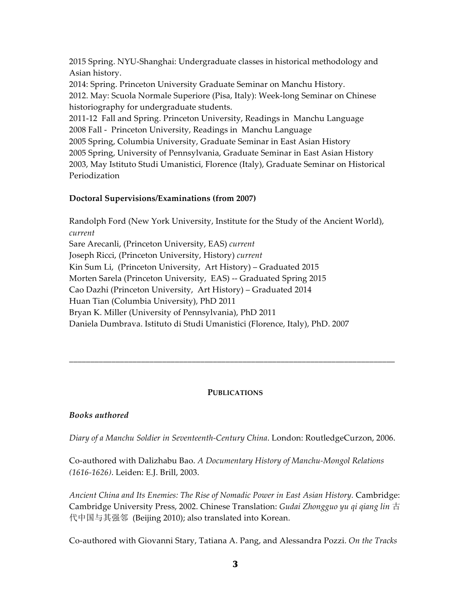2015 Spring. NYU-Shanghai: Undergraduate classes in historical methodology and Asian history.

2014: Spring. Princeton University Graduate Seminar on Manchu History.

2012. May: Scuola Normale Superiore (Pisa, Italy): Week-long Seminar on Chinese historiography for undergraduate students.

2011-12 Fall and Spring. Princeton University, Readings in Manchu Language 2008 Fall - Princeton University, Readings in Manchu Language

2005 Spring, Columbia University, Graduate Seminar in East Asian History

2005 Spring, University of Pennsylvania, Graduate Seminar in East Asian History

2003, May Istituto Studi Umanistici, Florence (Italy), Graduate Seminar on Historical Periodization

# **Doctoral Supervisions/Examinations (from 2007)**

Randolph Ford (New York University, Institute for the Study of the Ancient World), *current* Sare Arecanli, (Princeton University, EAS) *current* Joseph Ricci, (Princeton University, History) *current* Kin Sum Li, (Princeton University, Art History) – Graduated 2015 Morten Sarela (Princeton University, EAS) -- Graduated Spring 2015 Cao Dazhi (Princeton University, Art History) – Graduated 2014 Huan Tian (Columbia University), PhD 2011 Bryan K. Miller (University of Pennsylvania), PhD 2011 Daniela Dumbrava. Istituto di Studi Umanistici (Florence, Italy), PhD. 2007

# **PUBLICATIONS**

\_\_\_\_\_\_\_\_\_\_\_\_\_\_\_\_\_\_\_\_\_\_\_\_\_\_\_\_\_\_\_\_\_\_\_\_\_\_\_\_\_\_\_\_\_\_\_\_\_\_\_\_\_\_\_\_\_\_\_\_\_\_\_\_\_\_\_\_\_\_\_\_\_\_\_\_\_

# *Books authored*

*Diary of a Manchu Soldier in Seventeenth-Century China*. London: RoutledgeCurzon, 2006.

Co-authored with Dalizhabu Bao. *A Documentary History of Manchu-Mongol Relations (1616-1626)*. Leiden: E.J. Brill, 2003.

*Ancient China and Its Enemies: The Rise of Nomadic Power in East Asian History.* Cambridge: Cambridge University Press, 2002. Chinese Translation: *Gudai Zhongguo yu qi qiang lin* 古 代中国与其强邻 (Beijing 2010); also translated into Korean.

Co-authored with Giovanni Stary, Tatiana A. Pang, and Alessandra Pozzi. *On the Tracks*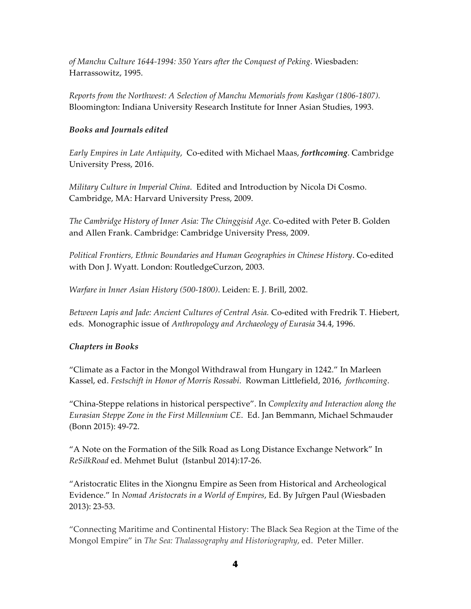*of Manchu Culture 1644-1994: 350 Years after the Conquest of Peking*. Wiesbaden: Harrassowitz, 1995.

*Reports from the Northwest: A Selection of Manchu Memorials from Kashgar (1806-1807).* Bloomington: Indiana University Research Institute for Inner Asian Studies, 1993.

## *Books and Journals edited*

*Early Empires in Late Antiquity*, Co-edited with Michael Maas, *forthcoming*. Cambridge University Press, 2016.

*Military Culture in Imperial China*. Edited and Introduction by Nicola Di Cosmo. Cambridge, MA: Harvard University Press, 2009.

*The Cambridge History of Inner Asia: The Chinggisid Age*. Co-edited with Peter B. Golden and Allen Frank. Cambridge: Cambridge University Press, 2009.

*Political Frontiers, Ethnic Boundaries and Human Geographies in Chinese History*. Co-edited with Don J. Wyatt. London: RoutledgeCurzon, 2003.

*Warfare in Inner Asian History (500-1800)*. Leiden: E. J. Brill, 2002.

*Between Lapis and Jade: Ancient Cultures of Central Asia.* Co-edited with Fredrik T. Hiebert, eds. Monographic issue of *Anthropology and Archaeology of Eurasia* 34.4, 1996.

### *Chapters in Books*

"Climate as a Factor in the Mongol Withdrawal from Hungary in 1242." In Marleen Kassel, ed. *Festschift in Honor of Morris Rossabi*. Rowman Littlefield, 2016, *forthcoming*.

"China-Steppe relations in historical perspective". In *Complexity and Interaction along the Eurasian Steppe Zone in the First Millennium CE*. Ed. Jan Bemmann, Michael Schmauder (Bonn 2015): 49-72.

"A Note on the Formation of the Silk Road as Long Distance Exchange Network" In *ReSilkRoad* ed. Mehmet Bulut (Istanbul 2014):17-26.

"Aristocratic Elites in the Xiongnu Empire as Seen from Historical and Archeological Evidence." In *Nomad Aristocrats in a World of Empires*, Ed. By Jürgen Paul (Wiesbaden 2013): 23-53.

"Connecting Maritime and Continental History: The Black Sea Region at the Time of the Mongol Empire" in *The Sea: Thalassography and Historiography*, ed. Peter Miller.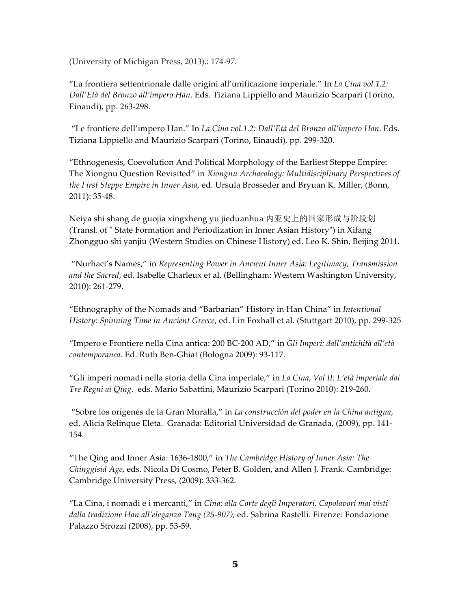(University of Michigan Press, 2013).: 174-97.

"La frontiera settentrionale dalle origini all'unificazione imperiale." In *La Cina vol.1.2: Dall'Età del Bronzo all'impero Han*. Eds. Tiziana Lippiello and Maurizio Scarpari (Torino, Einaudi), pp. 263-298.

"Le frontiere dell'impero Han." In *La Cina vol.1.2: Dall'Età del Bronzo all'impero Han*. Eds. Tiziana Lippiello and Maurizio Scarpari (Torino, Einaudi), pp. 299-320.

"Ethnogenesis, Coevolution And Political Morphology of the Earliest Steppe Empire: The Xiongnu Question Revisited" in *Xiongnu Archaeology: Multidisciplinary Perspectives of the First Steppe Empire in Inner Asia*, ed. Ursula Brosseder and Bryuan K. Miller, (Bonn, 2011): 35-48.

Neiya shi shang de guojia xingxheng yu jieduanhua 内亚史上的国家形成与阶段划 (Transl. of " State Formation and Periodization in Inner Asian History") in Xifang Zhongguo shi yanjiu (Western Studies on Chinese History) ed. Leo K. Shin, Beijing 2011.

"Nurhaci's Names," in *Representing Power in Ancient Inner Asia: Legitimacy, Transmission and the Sacred*, ed. Isabelle Charleux et al. (Bellingham: Western Washington University, 2010): 261-279.

"Ethnography of the Nomads and "Barbarian" History in Han China" in *Intentional History: Spinning Time in Ancient Greece*, ed. Lin Foxhall et al. (Stuttgart 2010), pp. 299-325

"Impero e Frontiere nella Cina antica: 200 BC-200 AD," in *Gli Imperi: dall'antichità all'età contemporanea*. Ed. Ruth Ben-Ghiat (Bologna 2009): 93-117.

"Gli imperi nomadi nella storia della Cina imperiale," in *La Cina*, *Vol II: L'età imperiale dai Tre Regni ai Qing.* eds. Mario Sabattini, Maurizio Scarpari (Torino 2010): 219-260.

"Sobre los orígenes de la Gran Muralla," in *La construcción del poder en la China antigua*, ed. Alicia Relinque Eleta. Granada: Editorial Universidad de Granada, (2009), pp. 141- 154.

"The Qing and Inner Asia: 1636-1800," in *The Cambridge History of Inner Asia: The Chinggisid Age*, eds. Nicola Di Cosmo, Peter B. Golden, and Allen J. Frank. Cambridge: Cambridge University Press, (2009): 333-362.

"La Cina, i nomadi e i mercanti," in *Cina: alla Corte degli Imperatori. Capolavori mai visti dalla tradizione Han all'eleganza Tang (25-907)*, ed. Sabrina Rastelli. Firenze: Fondazione Palazzo Strozzi (2008), pp. 53-59.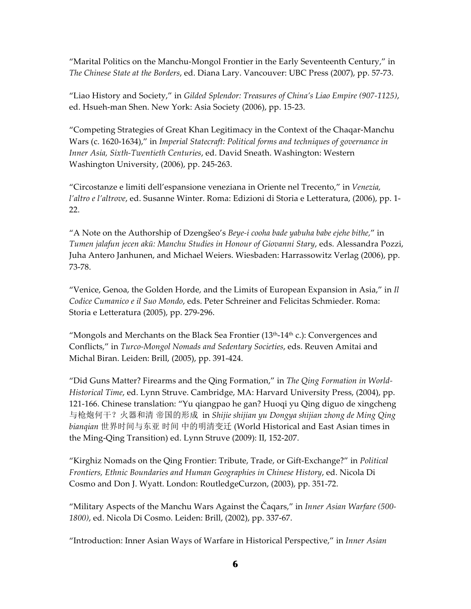"Marital Politics on the Manchu-Mongol Frontier in the Early Seventeenth Century," in *The Chinese State at the Borders*, ed. Diana Lary. Vancouver: UBC Press (2007), pp. 57-73.

"Liao History and Society," in *Gilded Splendor: Treasures of China's Liao Empire (907-1125)*, ed. Hsueh-man Shen. New York: Asia Society (2006), pp. 15-23.

"Competing Strategies of Great Khan Legitimacy in the Context of the Chaqar-Manchu Wars (c. 1620-1634)," in *Imperial Statecraft: Political forms and techniques of governance in Inner Asia, Sixth-Twentieth Centuries*, ed. David Sneath. Washington: Western Washington University, (2006), pp. 245-263.

"Circostanze e limiti dell'espansione veneziana in Oriente nel Trecento," in *Venezia, l'altro e l'altrove*, ed. Susanne Winter. Roma: Edizioni di Storia e Letteratura, (2006), pp. 1- 22.

"A Note on the Authorship of Dzengšeo's *Beye-i cooha bade yabuha babe ejehe bithe,*" in *Tumen jalafun jecen akū: Manchu Studies in Honour of Giovanni Stary*, eds. Alessandra Pozzi, Juha Antero Janhunen, and Michael Weiers. Wiesbaden: Harrassowitz Verlag (2006), pp. 73-78.

"Venice, Genoa, the Golden Horde, and the Limits of European Expansion in Asia," in *Il Codice Cumanico e il Suo Mondo*, eds. Peter Schreiner and Felicitas Schmieder. Roma: Storia e Letteratura (2005), pp. 279-296.

"Mongols and Merchants on the Black Sea Frontier ( $13<sup>th</sup>-14<sup>th</sup>$  c.): Convergences and Conflicts," in *Turco-Mongol Nomads and Sedentary Societies*, eds. Reuven Amitai and Michal Biran. Leiden: Brill, (2005), pp. 391-424.

"Did Guns Matter? Firearms and the Qing Formation," in *The Qing Formation in World-Historical Time*, ed. Lynn Struve. Cambridge, MA: Harvard University Press, (2004), pp. 121-166. Chinese translation: "Yu qiangpao he gan? Huoqi yu Qing diguo de xingcheng 与枪炮何干?火器和清 帝国的形成 in *Shijie shijian yu Dongya shijian zhong de Ming Qing bianqian* 世界时间与东亚 时间 中的明清变迁 (World Historical and East Asian times in the Ming-Qing Transition) ed. Lynn Struve (2009): II, 152-207.

"Kirghiz Nomads on the Qing Frontier: Tribute, Trade, or Gift-Exchange?" in *Political Frontiers, Ethnic Boundaries and Human Geographies in Chinese History*, ed. Nicola Di Cosmo and Don J. Wyatt. London: RoutledgeCurzon, (2003), pp. 351-72.

"Military Aspects of the Manchu Wars Against the Čaqars," in *Inner Asian Warfare (500- 1800)*, ed. Nicola Di Cosmo. Leiden: Brill, (2002), pp. 337-67.

"Introduction: Inner Asian Ways of Warfare in Historical Perspective," in *Inner Asian*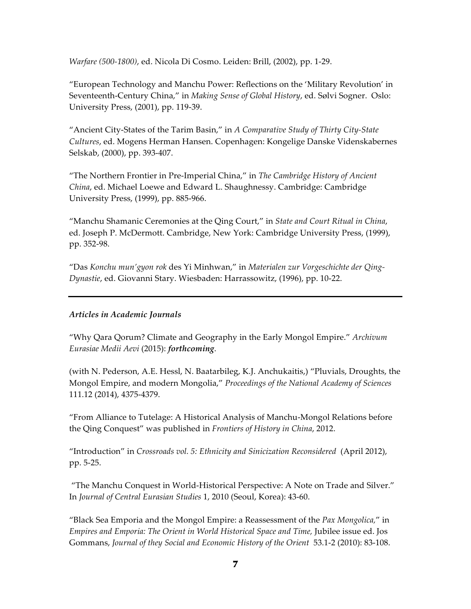*Warfare (500-1800)*, ed. Nicola Di Cosmo. Leiden: Brill, (2002), pp. 1-29.

"European Technology and Manchu Power: Reflections on the 'Military Revolution' in Seventeenth-Century China," in *Making Sense of Global History*, ed. Sølvi Sogner. Oslo: University Press, (2001), pp. 119-39.

"Ancient City-States of the Tarim Basin," in *A Comparative Study of Thirty City-State Cultures*, ed. Mogens Herman Hansen. Copenhagen: Kongelige Danske Videnskabernes Selskab, (2000), pp. 393-407.

"The Northern Frontier in Pre-Imperial China," in *The Cambridge History of Ancient China*, ed. Michael Loewe and Edward L. Shaughnessy. Cambridge: Cambridge University Press, (1999), pp. 885-966.

"Manchu Shamanic Ceremonies at the Qing Court," in *State and Court Ritual in China*, ed. Joseph P. McDermott. Cambridge, New York: Cambridge University Press, (1999), pp. 352-98.

"Das *Konchu mun'gyon rok* des Yi Minhwan," in *Materialen zur Vorgeschichte der Qing-Dynastie*, ed. Giovanni Stary. Wiesbaden: Harrassowitz, (1996), pp. 10-22.

## *Articles in Academic Journals*

"Why Qara Qorum? Climate and Geography in the Early Mongol Empire." *Archivum Eurasiae Medii Aevi* (2015): *forthcoming*.

(with N. Pederson, A.E. Hessl, N. Baatarbileg, K.J. Anchukaitis,) "Pluvials, Droughts, the Mongol Empire, and modern Mongolia," *Proceedings of the National Academy of Sciences* 111.12 (2014), 4375-4379.

"From Alliance to Tutelage: A Historical Analysis of Manchu-Mongol Relations before the Qing Conquest" was published in *Frontiers of History in China*, 2012.

"Introduction" in *Crossroads vol. 5: Ethnicity and Sinicization Reconsidered* (April 2012), pp. 5-25.

"The Manchu Conquest in World-Historical Perspective: A Note on Trade and Silver." In *Journal of Central Eurasian Studies* 1, 2010 (Seoul, Korea): 43-60.

"Black Sea Emporia and the Mongol Empire: a Reassessment of the *Pax Mongolica,*" in *Empires and Emporia: The Orient in World Historical Space and Time, Jubilee issue ed. Jos* Gommans, *Journal of they Social and Economic History of the Orient* 53.1-2 (2010): 83-108.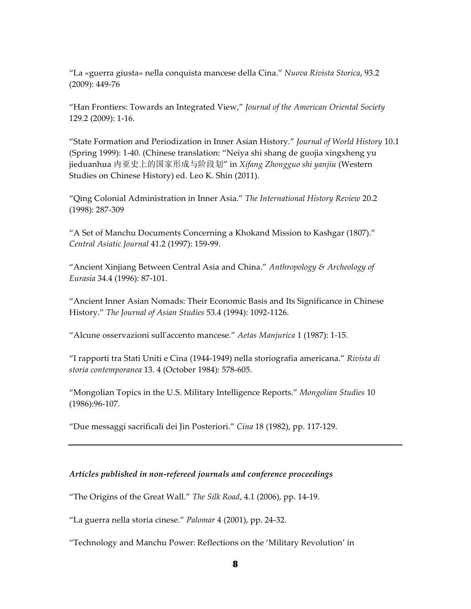"La «guerra giusta» nella conquista mancese della Cina." *Nuova Rivista Storica*, 93.2 (2009): 449-76

"Han Frontiers: Towards an Integrated View," *Journal of the American Oriental Society*  129.2 (2009): 1-16.

"State Formation and Periodization in Inner Asian History." *Journal of World History* 10.1 (Spring 1999): 1-40. (Chinese translation: "Neiya shi shang de guojia xingxheng yu jieduanhua 内亚史上的国家形成与阶段划" in *Xifang Zhongguo shi yanjiu* (Western Studies on Chinese History) ed. Leo K. Shin (2011).

"Qing Colonial Administration in Inner Asia." *The International History Review* 20.2 (1998): 287-309

"A Set of Manchu Documents Concerning a Khokand Mission to Kashgar (1807)." *Central Asiatic Journal* 41.2 (1997): 159-99.

"Ancient Xinjiang Between Central Asia and China." *Anthropology & Archeology of Eurasia* 34.4 (1996): 87-101.

"Ancient Inner Asian Nomads: Their Economic Basis and Its Significance in Chinese History." *The Journal of Asian Studies* 53.4 (1994): 1092-1126.

"Alcune osservazioni sull'accento mancese." *Aetas Manjurica* 1 (1987): 1-15.

"I rapporti tra Stati Uniti e Cina (1944-1949) nella storiografia americana." *Rivista di storia contemporanea* 13. 4 (October 1984): 578-605.

"Mongolian Topics in the U.S. Military Intelligence Reports." *Mongolian Studies* 10 (1986):96-107.

"Due messaggi sacrificali dei Jin Posteriori." *Cina* 18 (1982), pp. 117-129.

### *Articles published in non-refereed journals and conference proceedings*

"The Origins of the Great Wall." *The Silk Road*, 4.1 (2006), pp. 14-19.

"La guerra nella storia cinese." *Palomar* 4 (2001), pp. 24-32.

"Technology and Manchu Power: Reflections on the 'Military Revolution' in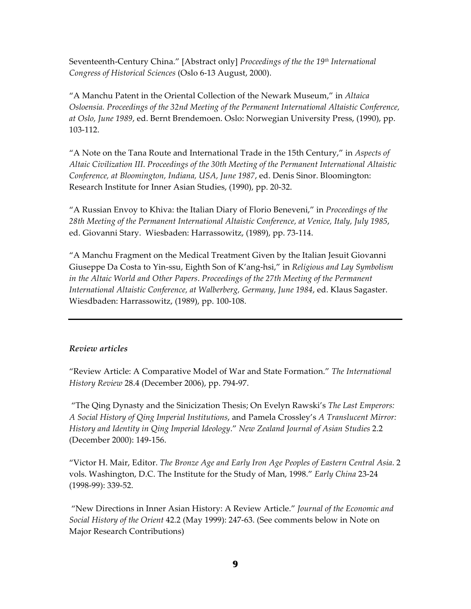Seventeenth-Century China." [Abstract only] *Proceedings of the the 19th International Congress of Historical Sciences* (Oslo 6-13 August, 2000).

"A Manchu Patent in the Oriental Collection of the Newark Museum," in *Altaica Osloensia. Proceedings of the 32nd Meeting of the Permanent International Altaistic Conference, at Oslo, June 1989*, ed. Bernt Brendemoen. Oslo: Norwegian University Press, (1990), pp. 103-112.

"A Note on the Tana Route and International Trade in the 15th Century," in *Aspects of Altaic Civilization III*. *Proceedings of the 30th Meeting of the Permanent International Altaistic Conference, at Bloomington, Indiana, USA, June 1987*, ed. Denis Sinor. Bloomington: Research Institute for Inner Asian Studies, (1990), pp. 20-32.

"A Russian Envoy to Khiva: the Italian Diary of Florio Beneveni," in *Proceedings of the 28th Meeting of the Permanent International Altaistic Conference, at Venice, Italy, July 1985*, ed. Giovanni Stary. Wiesbaden: Harrassowitz, (1989), pp. 73-114.

"A Manchu Fragment on the Medical Treatment Given by the Italian Jesuit Giovanni Giuseppe Da Costa to Yin-ssu, Eighth Son of K'ang-hsi," in *Religious and Lay Symbolism in the Altaic World and Other Papers*. *Proceedings of the 27th Meeting of the Permanent International Altaistic Conference, at Walberberg, Germany, June 1984*, ed. Klaus Sagaster. Wiesdbaden: Harrassowitz, (1989), pp. 100-108.

### *Review articles*

"Review Article: A Comparative Model of War and State Formation." *The International History Review* 28.4 (December 2006), pp. 794-97.

"The Qing Dynasty and the Sinicization Thesis; On Evelyn Rawski's *The Last Emperors: A Social History of Qing Imperial Institutions*, and Pamela Crossley's *A Translucent Mirror: History and Identity in Qing Imperial Ideology*." *New Zealand Journal of Asian Studies* 2.2 (December 2000): 149-156.

"Victor H. Mair, Editor. *The Bronze Age and Early Iron Age Peoples of Eastern Central Asia*. 2 vols. Washington, D.C. The Institute for the Study of Man, 1998." *Early China* 23-24 (1998-99): 339-52.

"New Directions in Inner Asian History: A Review Article." *Journal of the Economic and Social History of the Orient* 42.2 (May 1999): 247-63. (See comments below in Note on Major Research Contributions)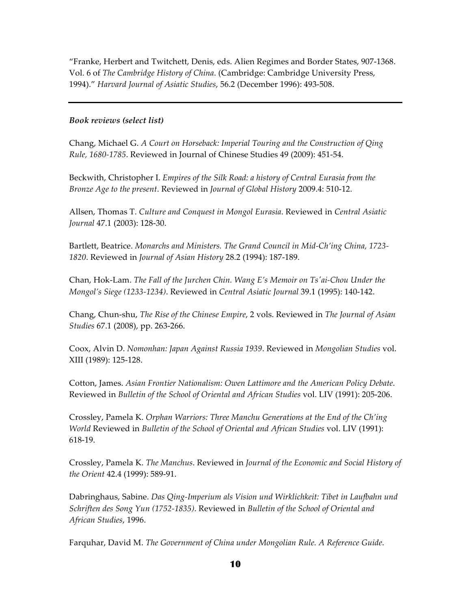"Franke, Herbert and Twitchett, Denis, eds. Alien Regimes and Border States, 907-1368. Vol. 6 of *The Cambridge History of China*. (Cambridge: Cambridge University Press, 1994)." *Harvard Journal of Asiatic Studies*, 56.2 (December 1996): 493-508.

## *Book reviews (select list)*

Chang, Michael G. *A Court on Horseback: Imperial Touring and the Construction of Qing Rule, 1680-1785*. Reviewed in Journal of Chinese Studies 49 (2009): 451-54.

Beckwith, Christopher I. *Empires of the Silk Road: a history of Central Eurasia from the Bronze Age to the present*. Reviewed in *Journal of Global History* 2009.4: 510-12.

Allsen, Thomas T. *Culture and Conquest in Mongol Eurasia*. Reviewed in *Central Asiatic Journal* 47.1 (2003): 128-30.

Bartlett, Beatrice. *Monarchs and Ministers. The Grand Council in Mid-Ch'ing China, 1723- 1820*. Reviewed in *Journal of Asian History* 28.2 (1994): 187-189.

Chan, Hok-Lam. *The Fall of the Jurchen Chin. Wang E's Memoir on Ts'ai-Chou Under the Mongol's Siege (1233-1234)*. Reviewed in *Central Asiatic Journal* 39.1 (1995): 140-142.

Chang, Chun-shu, *The Rise of the Chinese Empire*, 2 vols. Reviewed in *The Journal of Asian Studies* 67.1 (2008), pp. 263-266.

Coox, Alvin D. *Nomonhan: Japan Against Russia 1939*. Reviewed in *Mongolian Studies* vol. XIII (1989): 125-128.

Cotton, James. *Asian Frontier Nationalism: Owen Lattimore and the American Policy Debate*. Reviewed in *Bulletin of the School of Oriental and African Studies* vol. LIV (1991): 205-206.

Crossley, Pamela K. *Orphan Warriors: Three Manchu Generations at the End of the Ch'ing World* Reviewed in *Bulletin of the School of Oriental and African Studies* vol. LIV (1991): 618-19.

Crossley, Pamela K. *The Manchus*. Reviewed in *Journal of the Economic and Social History of the Orient* 42.4 (1999): 589-91.

Dabringhaus, Sabine. *Das Qing-Imperium als Vision und Wirklichkeit: Tibet in Laufbahn und Schriften des Song Yun (1752-1835)*. Reviewed in *Bulletin of the School of Oriental and African Studies*, 1996.

Farquhar, David M. *The Government of China under Mongolian Rule. A Reference Guide*.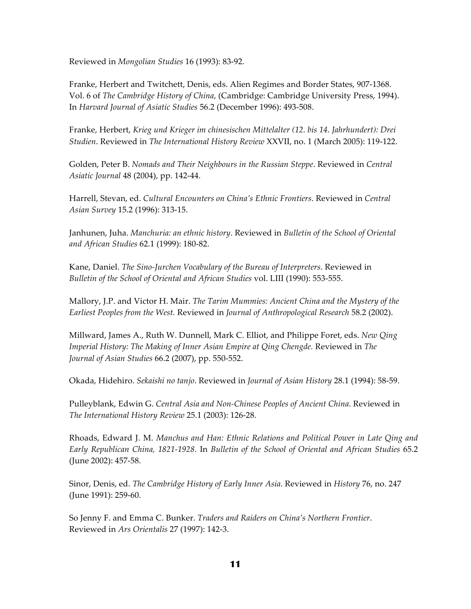Reviewed in *Mongolian Studies* 16 (1993): 83-92.

Franke, Herbert and Twitchett, Denis, eds. Alien Regimes and Border States, 907-1368. Vol. 6 of *The Cambridge History of China*, (Cambridge: Cambridge University Press, 1994). In *Harvard Journal of Asiatic Studies* 56.2 (December 1996): 493-508.

Franke, Herbert, *Krieg und Krieger im chinesischen Mittelalter (12. bis 14. Jahrhundert): Drei Studien*. Reviewed in *The International History Review* XXVII, no. 1 (March 2005): 119-122.

Golden, Peter B. *Nomads and Their Neighbours in the Russian Steppe*. Reviewed in *Central Asiatic Journal* 48 (2004), pp. 142-44.

Harrell, Stevan, ed. *Cultural Encounters on China's Ethnic Frontiers*. Reviewed in *Central Asian Survey* 15.2 (1996): 313-15.

Janhunen, Juha. *Manchuria: an ethnic history*. Reviewed in *Bulletin of the School of Oriental and African Studies* 62.1 (1999): 180-82.

Kane, Daniel. *The Sino-Jurchen Vocabulary of the Bureau of Interpreters*. Reviewed in *Bulletin of the School of Oriental and African Studies* vol. LIII (1990): 553-555.

Mallory, J.P. and Victor H. Mair. *The Tarim Mummies: Ancient China and the Mystery of the Earliest Peoples from the West.* Reviewed in *Journal of Anthropological Research* 58.2 (2002).

Millward, James A., Ruth W. Dunnell, Mark C. Elliot, and Philippe Foret, eds. *New Qing Imperial History: The Making of Inner Asian Empire at Qing Chengde.* Reviewed in *The Journal of Asian Studies* 66.2 (2007), pp. 550-552.

Okada, Hidehiro. *Sekaishi no tanjo*. Reviewed in *Journal of Asian History* 28.1 (1994): 58-59.

Pulleyblank, Edwin G. *Central Asia and Non-Chinese Peoples of Ancient China*. Reviewed in *The International History Review* 25.1 (2003): 126-28.

Rhoads, Edward J. M. *Manchus and Han: Ethnic Relations and Political Power in Late Qing and Early Republican China, 1821-1928.* In *Bulletin of the School of Oriental and African Studies* 65.2 (June 2002): 457-58.

Sinor, Denis, ed. *The Cambridge History of Early Inner Asia*. Reviewed in *History* 76, no. 247 (June 1991): 259-60.

So Jenny F. and Emma C. Bunker. *Traders and Raiders on China's Northern Frontier*. Reviewed in *Ars Orientalis* 27 (1997): 142-3.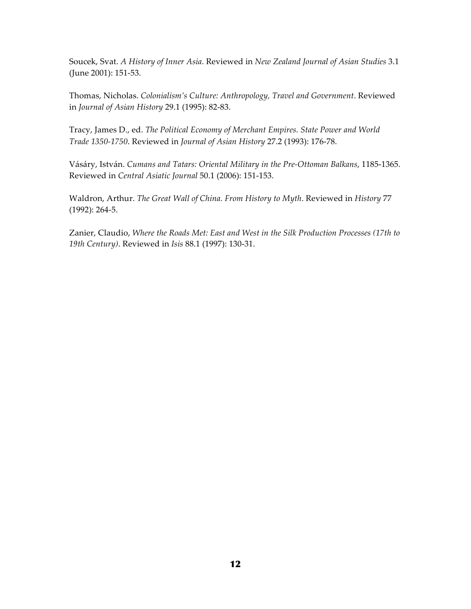Soucek, Svat. *A History of Inner Asia*. Reviewed in *New Zealand Journal of Asian Studies* 3.1 (June 2001): 151-53.

Thomas, Nicholas. *Colonialism's Culture: Anthropology, Travel and Government*. Reviewed in *Journal of Asian History* 29.1 (1995): 82-83.

Tracy, James D., ed. *The Political Economy of Merchant Empires. State Power and World Trade 1350-1750*. Reviewed in *Journal of Asian History* 27.2 (1993): 176-78.

Vásáry, István. *Cumans and Tatars: Oriental Military in the Pre-Ottoman Balkans*, 1185-1365. Reviewed in *Central Asiatic Journal* 50.1 (2006): 151-153.

Waldron, Arthur. *The Great Wall of China. From History to Myth*. Reviewed in *History* 77 (1992): 264-5.

Zanier, Claudio, *Where the Roads Met: East and West in the Silk Production Processes (17th to 19th Century)*. Reviewed in *Isis* 88.1 (1997): 130-31.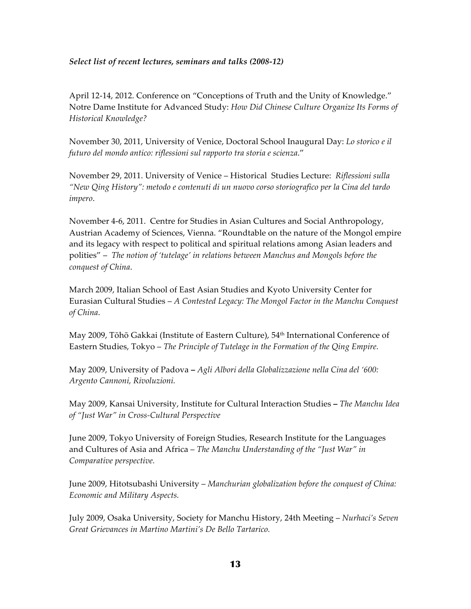## *Select list of recent lectures, seminars and talks (2008-12)*

April 12-14, 2012. Conference on "Conceptions of Truth and the Unity of Knowledge." Notre Dame Institute for Advanced Study: *How Did Chinese Culture Organize Its Forms of Historical Knowledge?*

November 30, 2011, University of Venice, Doctoral School Inaugural Day: *Lo storico e il futuro del mondo antico: riflessioni sul rapporto tra storia e scienza*."

November 29, 2011. University of Venice – Historical Studies Lecture: *Riflessioni sulla "New Qing History": metodo e contenuti di un nuovo corso storiografico per la Cina del tardo impero*.

November 4-6, 2011. Centre for Studies in Asian Cultures and Social Anthropology, Austrian Academy of Sciences, Vienna. "Roundtable on the nature of the Mongol empire and its legacy with respect to political and spiritual relations among Asian leaders and polities" – *The notion of 'tutelage' in relations between Manchus and Mongols before the conquest of China*.

March 2009, Italian School of East Asian Studies and Kyoto University Center for Eurasian Cultural Studies – *A Contested Legacy: The Mongol Factor in the Manchu Conquest of China*.

May 2009, Tōhō Gakkai (Institute of Eastern Culture), 54<sup>th</sup> International Conference of Eastern Studies, Tokyo – *The Principle of Tutelage in the Formation of the Qing Empire.*

May 2009, University of Padova **–** *Agli Albori della Globalizzazione nella Cina del '600: Argento Cannoni, Rivoluzioni.*

May 2009, Kansai University, Institute for Cultural Interaction Studies **–** *The Manchu Idea of "Just War" in Cross-Cultural Perspective*

June 2009, Tokyo University of Foreign Studies, Research Institute for the Languages and Cultures of Asia and Africa – *The Manchu Understanding of the "Just War" in Comparative perspective.*

June 2009, Hitotsubashi University – *Manchurian globalization before the conquest of China: Economic and Military Aspects.*

July 2009, Osaka University, Society for Manchu History, 24th Meeting – *Nurhaci's Seven Great Grievances in Martino Martini's De Bello Tartarico.*